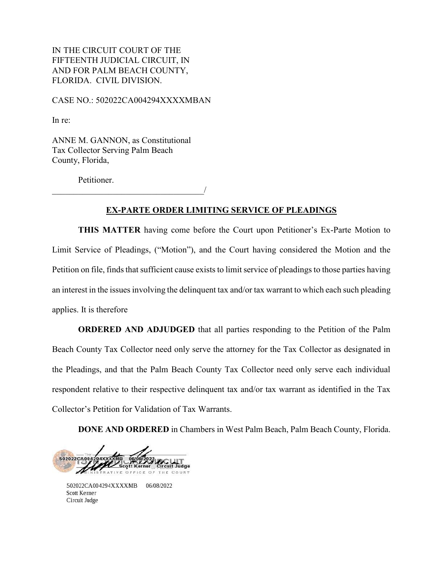IN THE CIRCUIT COURT OF THE FIFTEENTH JUDICIAL CIRCUIT, IN AND FOR PALM BEACH COUNTY, FLORIDA. CIVIL DIVISION.

CASE NO.: 502022CA004294XXXXMBAN

In re:

ANNE M. GANNON, as Constitutional Tax Collector Serving Palm Beach County, Florida,

Petitioner.

 $\overline{\phantom{a}}$ 

## **EX-PARTE ORDER LIMITING SERVICE OF PLEADINGS**

**THIS MATTER** having come before the Court upon Petitioner's Ex-Parte Motion to Limit Service of Pleadings, ("Motion"), and the Court having considered the Motion and the Petition on file, finds that sufficient cause exists to limit service of pleadings to those parties having an interest in the issues involving the delinquent tax and/or tax warrant to which each such pleading applies. It is therefore

**ORDERED AND ADJUDGED** that all parties responding to the Petition of the Palm Beach County Tax Collector need only serve the attorney for the Tax Collector as designated in the Pleadings, and that the Palm Beach County Tax Collector need only serve each individual respondent relative to their respective delinquent tax and/or tax warrant as identified in the Tax Collector's Petition for Validation of Tax Warrants.

**DONE AND ORDERED** in Chambers in West Palm Beach, Palm Beach County, Florida.

502022CA00 06/08/2022<br>cott Kerner Circuit Judge FFICE OF THE COUR

502022CA004294XXXXMB 06/08/2022 Scott Kerner Circuit Judge